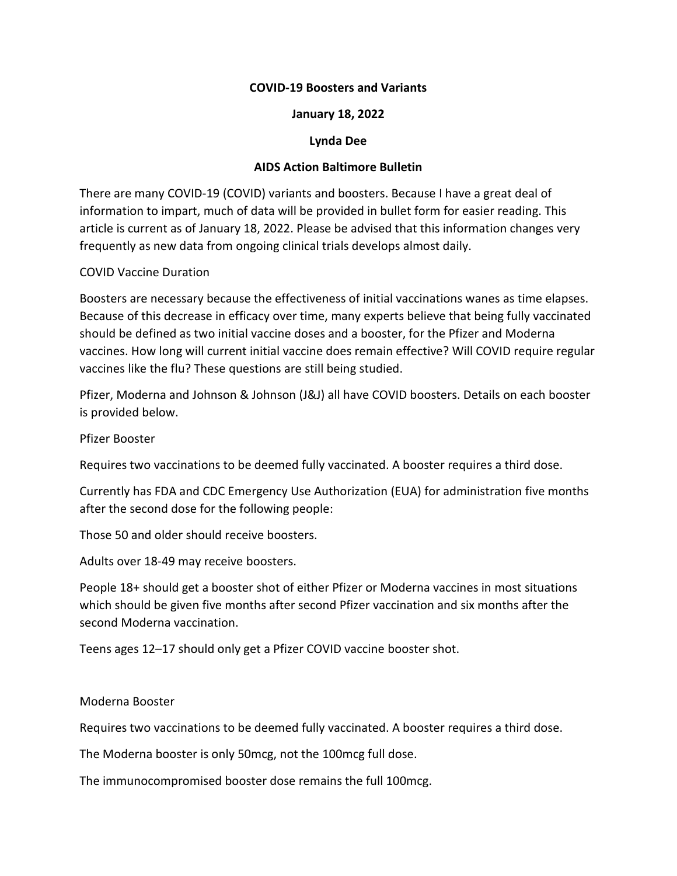#### **COVID-19 Boosters and Variants**

#### **January 18, 2022**

#### **Lynda Dee**

## **AIDS Action Baltimore Bulletin**

There are many COVID-19 (COVID) variants and boosters. Because I have a great deal of information to impart, much of data will be provided in bullet form for easier reading. This article is current as of January 18, 2022. Please be advised that this information changes very frequently as new data from ongoing clinical trials develops almost daily.

### COVID Vaccine Duration

Boosters are necessary because the effectiveness of initial vaccinations wanes as time elapses. Because of this decrease in efficacy over time, many experts believe that being fully vaccinated should be defined as two initial vaccine doses and a booster, for the Pfizer and Moderna vaccines. How long will current initial vaccine does remain effective? Will COVID require regular vaccines like the flu? These questions are still being studied.

Pfizer, Moderna and Johnson & Johnson (J&J) all have COVID boosters. Details on each booster is provided below.

Pfizer Booster

Requires two vaccinations to be deemed fully vaccinated. A booster requires a third dose.

Currently has FDA and CDC Emergency Use Authorization (EUA) for administration five months after the second dose for the following people:

Those 50 and older should receive boosters.

Adults over 18-49 may receive boosters.

People 18+ should get a booster shot of either Pfizer or Moderna vaccines in most situations which should be given five months after second Pfizer vaccination and six months after the second Moderna vaccination.

Teens ages 12–17 should only get a Pfizer COVID vaccine booster shot.

### Moderna Booster

Requires two vaccinations to be deemed fully vaccinated. A booster requires a third dose.

The Moderna booster is only 50mcg, not the 100mcg full dose.

The immunocompromised booster dose remains the full 100mcg.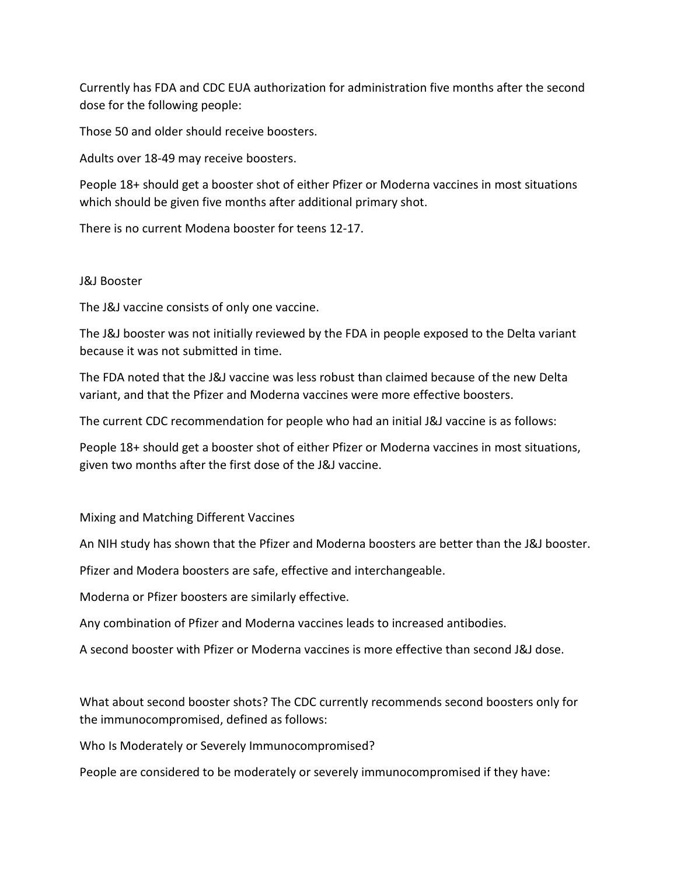Currently has FDA and CDC EUA authorization for administration five months after the second dose for the following people:

Those 50 and older should receive boosters.

Adults over 18-49 may receive boosters.

People 18+ should get a booster shot of either Pfizer or Moderna vaccines in most situations which should be given five months after additional primary shot.

There is no current Modena booster for teens 12-17.

### J&J Booster

The J&J vaccine consists of only one vaccine.

The J&J booster was not initially reviewed by the FDA in people exposed to the Delta variant because it was not submitted in time.

The FDA noted that the J&J vaccine was less robust than claimed because of the new Delta variant, and that the Pfizer and Moderna vaccines were more effective boosters.

The current CDC recommendation for people who had an initial J&J vaccine is as follows:

People 18+ should get a booster shot of either Pfizer or Moderna vaccines in most situations, given two months after the first dose of the J&J vaccine.

Mixing and Matching Different Vaccines

An NIH study has shown that the Pfizer and Moderna boosters are better than the J&J booster.

Pfizer and Modera boosters are safe, effective and interchangeable.

Moderna or Pfizer boosters are similarly effective.

Any combination of Pfizer and Moderna vaccines leads to increased antibodies.

A second booster with Pfizer or Moderna vaccines is more effective than second J&J dose.

What about second booster shots? The CDC currently recommends second boosters only for the immunocompromised, defined as follows:

Who Is Moderately or Severely Immunocompromised?

People are considered to be moderately or severely immunocompromised if they have: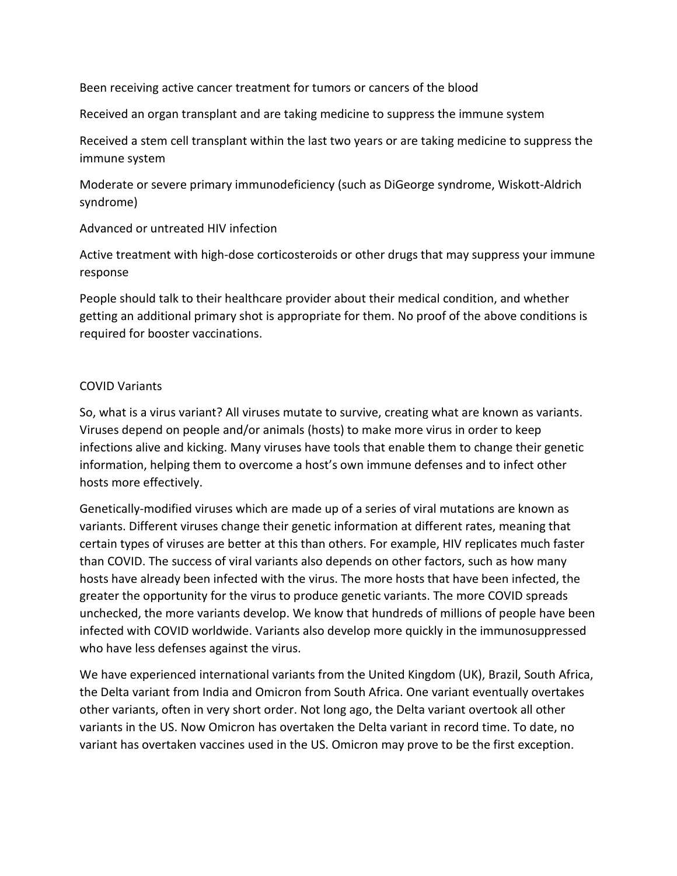Been receiving active cancer treatment for tumors or cancers of the blood

Received an organ transplant and are taking medicine to suppress the immune system

Received a stem cell transplant within the last two years or are taking medicine to suppress the immune system

Moderate or severe primary immunodeficiency (such as DiGeorge syndrome, Wiskott-Aldrich syndrome)

Advanced or untreated HIV infection

Active treatment with high-dose corticosteroids or other drugs that may suppress your immune response

People should talk to their healthcare provider about their medical condition, and whether getting an additional primary shot is appropriate for them. No proof of the above conditions is required for booster vaccinations.

## COVID Variants

So, what is a virus variant? All viruses mutate to survive, creating what are known as variants. Viruses depend on people and/or animals (hosts) to make more virus in order to keep infections alive and kicking. Many viruses have tools that enable them to change their genetic information, helping them to overcome a host's own immune defenses and to infect other hosts more effectively.

Genetically-modified viruses which are made up of a series of viral mutations are known as variants. Different viruses change their genetic information at different rates, meaning that certain types of viruses are better at this than others. For example, HIV replicates much faster than COVID. The success of viral variants also depends on other factors, such as how many hosts have already been infected with the virus. The more hosts that have been infected, the greater the opportunity for the virus to produce genetic variants. The more COVID spreads unchecked, the more variants develop. We know that hundreds of millions of people have been infected with COVID worldwide. Variants also develop more quickly in the immunosuppressed who have less defenses against the virus.

We have experienced international variants from the United Kingdom (UK), Brazil, South Africa, the Delta variant from India and Omicron from South Africa. One variant eventually overtakes other variants, often in very short order. Not long ago, the Delta variant overtook all other variants in the US. Now Omicron has overtaken the Delta variant in record time. To date, no variant has overtaken vaccines used in the US. Omicron may prove to be the first exception.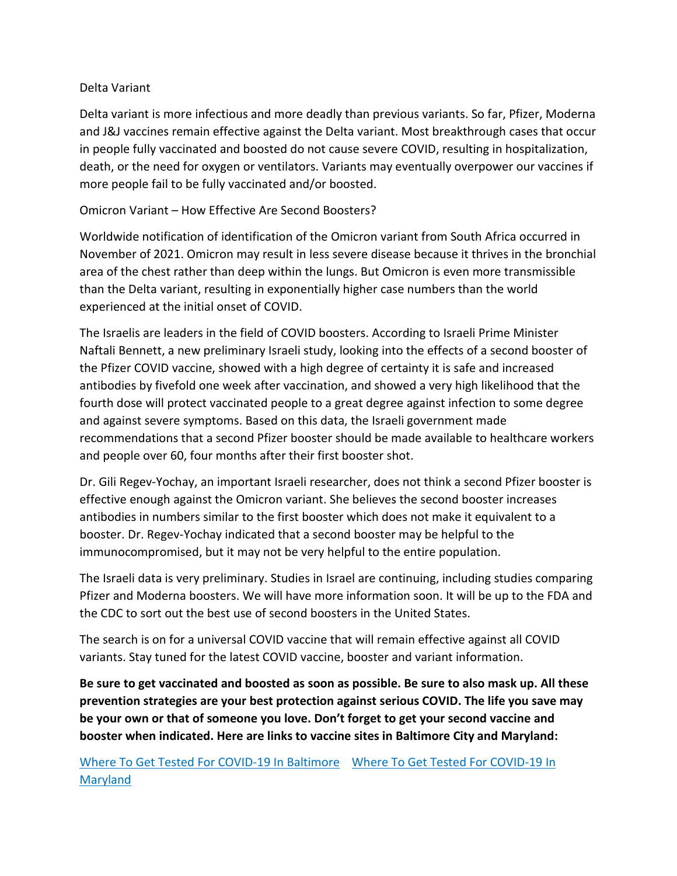## Delta Variant

Delta variant is more infectious and more deadly than previous variants. So far, Pfizer, Moderna and J&J vaccines remain effective against the Delta variant. Most breakthrough cases that occur in people fully vaccinated and boosted do not cause severe COVID, resulting in hospitalization, death, or the need for oxygen or ventilators. Variants may eventually overpower our vaccines if more people fail to be fully vaccinated and/or boosted.

# Omicron Variant – How Effective Are Second Boosters?

Worldwide notification of identification of the Omicron variant from South Africa occurred in November of 2021. Omicron may result in less severe disease because it thrives in the bronchial area of the chest rather than deep within the lungs. But Omicron is even more transmissible than the Delta variant, resulting in exponentially higher case numbers than the world experienced at the initial onset of COVID.

The Israelis are leaders in the field of COVID boosters. According to Israeli Prime Minister Naftali Bennett, a new preliminary Israeli study, looking into the effects of a second booster of the Pfizer COVID vaccine, showed with a high degree of certainty it is safe and increased antibodies by fivefold one week after vaccination, and showed a very high likelihood that the fourth dose will protect vaccinated people to a great degree against infection to some degree and against severe symptoms. Based on this data, the Israeli government made recommendations that a second Pfizer booster should be made available to healthcare workers and people over 60, four months after their first booster shot.

Dr. Gili Regev-Yochay, an important Israeli researcher, does not think a second Pfizer booster is effective enough against the Omicron variant. She believes the second booster increases antibodies in numbers similar to the first booster which does not make it equivalent to a booster. Dr. Regev-Yochay indicated that a second booster may be helpful to the immunocompromised, but it may not be very helpful to the entire population.

The Israeli data is very preliminary. Studies in Israel are continuing, including studies comparing Pfizer and Moderna boosters. We will have more information soon. It will be up to the FDA and the CDC to sort out the best use of second boosters in the United States.

The search is on for a universal COVID vaccine that will remain effective against all COVID variants. Stay tuned for the latest COVID vaccine, booster and variant information.

**Be sure to get vaccinated and boosted as soon as possible. Be sure to also mask up. All these prevention strategies are your best protection against serious COVID. The life you save may be your own or that of someone you love. Don't forget to get your second vaccine and booster when indicated. Here are links to vaccine sites in Baltimore City and Maryland:** 

[Where To Get Tested For COVID-19 In Baltimore](https://coronavirus.baltimorecity.gov/testing/where-get-tested-covid-19-baltimore-city) [Where To Get Tested For COVID-19 In](https://coronavirus.maryland.gov/pages/vaccine)  [Maryland](https://coronavirus.maryland.gov/pages/vaccine)